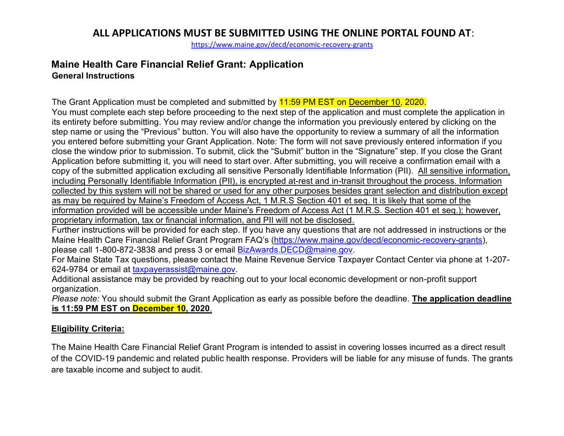<https://www.maine.gov/decd/economic-recovery-grants>

#### **Maine Health Care Financial Relief Grant: Application General Instructions**

The Grant Application must be completed and submitted by 11:59 PM EST on December 10, 2020. You must complete each step before proceeding to the next step of the application and must complete the application in its entirety before submitting. You may review and/or change the information you previously entered by clicking on the step name or using the "Previous" button. You will also have the opportunity to review a summary of all the information you entered before submitting your Grant Application. Note: The form will not save previously entered information if you close the window prior to submission. To submit, click the "Submit" button in the "Signature" step. If you close the Grant Application before submitting it, you will need to start over. After submitting, you will receive a confirmation email with a copy of the submitted application excluding all sensitive Personally Identifiable Information (PII). All sensitive information, including Personally Identifiable Information (PII), is encrypted at-rest and in-transit throughout the process. Information collected by this system will not be shared or used for any other purposes besides grant selection and distribution except as may be required by Maine's Freedom of Access Act, 1 M.R.S Section 401 et seq. It is likely that some of the information provided will be accessible under Maine's Freedom of Access Act (1 M.R.S. Section 401 et seq.); however, proprietary information, tax or financial information, and PII will not be disclosed.

Further instructions will be provided for each step. If you have any questions that are not addressed in instructions or the Maine Health Care Financial Relief Grant Program FAQ's [\(https://www.maine.gov/decd/economic-recovery-grants\)](https://www.maine.gov/decd/economic-recovery-grants), please call 1-800-872-3838 and press 3 or email [BizAwards.DECD@maine.gov.](mailto:BizAwards.DECD@maine.gov)

For Maine State Tax questions, please contact the Maine Revenue Service Taxpayer Contact Center via phone at 1-207- 624-9784 or email at [taxpayerassist@maine.gov.](mailto:taxpayerassist@maine.gov)

Additional assistance may be provided by reaching out to your local economic development or non-profit support organization.

*Please note:* You should submit the Grant Application as early as possible before the deadline. **The application deadline is 11:59 PM EST on December 10, 2020**.

#### **Eligibility Criteria:**

The Maine Health Care Financial Relief Grant Program is intended to assist in covering losses incurred as a direct result of the COVID-19 pandemic and related public health response. Providers will be liable for any misuse of funds. The grants are taxable income and subject to audit.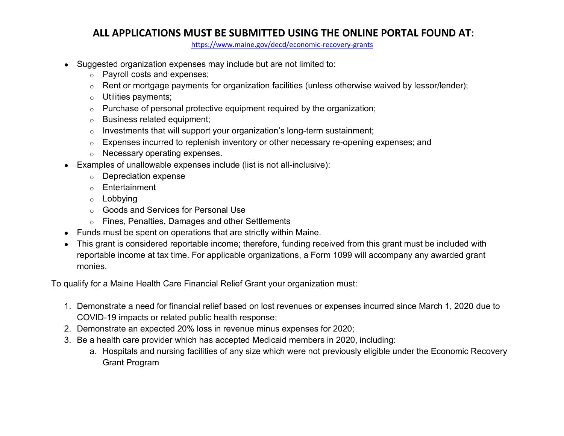<https://www.maine.gov/decd/economic-recovery-grants>

- Suggested organization expenses may include but are not limited to:
	- o Payroll costs and expenses;
	- o Rent or mortgage payments for organization facilities (unless otherwise waived by lessor/lender);
	- o Utilities payments;
	- o Purchase of personal protective equipment required by the organization;
	- o Business related equipment;
	- $\circ$  Investments that will support your organization's long-term sustainment;
	- $\circ$  Expenses incurred to replenish inventory or other necessary re-opening expenses; and
	- o Necessary operating expenses.
- Examples of unallowable expenses include (list is not all-inclusive):
	- o Depreciation expense
	- o Entertainment
	- o Lobbying
	- o Goods and Services for Personal Use
	- o Fines, Penalties, Damages and other Settlements
- Funds must be spent on operations that are strictly within Maine.
- This grant is considered reportable income; therefore, funding received from this grant must be included with reportable income at tax time. For applicable organizations, a Form 1099 will accompany any awarded grant monies.

To qualify for a Maine Health Care Financial Relief Grant your organization must:

- 1. Demonstrate a need for financial relief based on lost revenues or expenses incurred since March 1, 2020 due to COVID-19 impacts or related public health response;
- 2. Demonstrate an expected 20% loss in revenue minus expenses for 2020;
- 3. Be a health care provider which has accepted Medicaid members in 2020, including:
	- a. Hospitals and nursing facilities of any size which were not previously eligible under the Economic Recovery Grant Program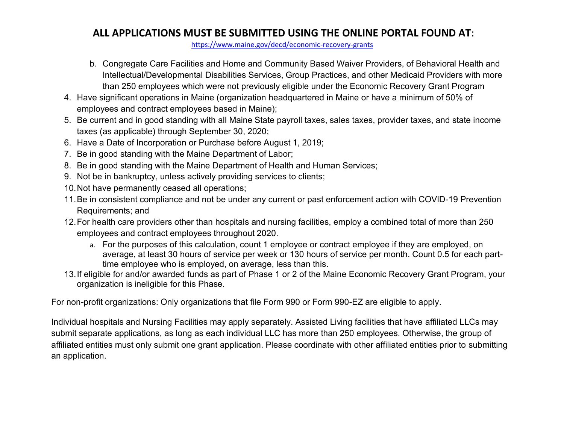<https://www.maine.gov/decd/economic-recovery-grants>

- b. Congregate Care Facilities and Home and Community Based Waiver Providers, of Behavioral Health and Intellectual/Developmental Disabilities Services, Group Practices, and other Medicaid Providers with more than 250 employees which were not previously eligible under the Economic Recovery Grant Program
- 4. Have significant operations in Maine (organization headquartered in Maine or have a minimum of 50% of employees and contract employees based in Maine);
- 5. Be current and in good standing with all Maine State payroll taxes, sales taxes, provider taxes, and state income taxes (as applicable) through September 30, 2020;
- 6. Have a Date of Incorporation or Purchase before August 1, 2019;
- 7. Be in good standing with the Maine Department of Labor;
- 8. Be in good standing with the Maine Department of Health and Human Services;
- 9. Not be in bankruptcy, unless actively providing services to clients;
- 10.Not have permanently ceased all operations;
- 11.Be in consistent compliance and not be under any current or past enforcement action with COVID-19 Prevention Requirements; and
- 12.For health care providers other than hospitals and nursing facilities, employ a combined total of more than 250 employees and contract employees throughout 2020.
	- a. For the purposes of this calculation, count 1 employee or contract employee if they are employed, on average, at least 30 hours of service per week or 130 hours of service per month. Count 0.5 for each parttime employee who is employed, on average, less than this.
- 13.If eligible for and/or awarded funds as part of Phase 1 or 2 of the Maine Economic Recovery Grant Program, your organization is ineligible for this Phase.

For non-profit organizations: Only organizations that file Form 990 or Form 990-EZ are eligible to apply.

Individual hospitals and Nursing Facilities may apply separately. Assisted Living facilities that have affiliated LLCs may submit separate applications, as long as each individual LLC has more than 250 employees. Otherwise, the group of affiliated entities must only submit one grant application. Please coordinate with other affiliated entities prior to submitting an application.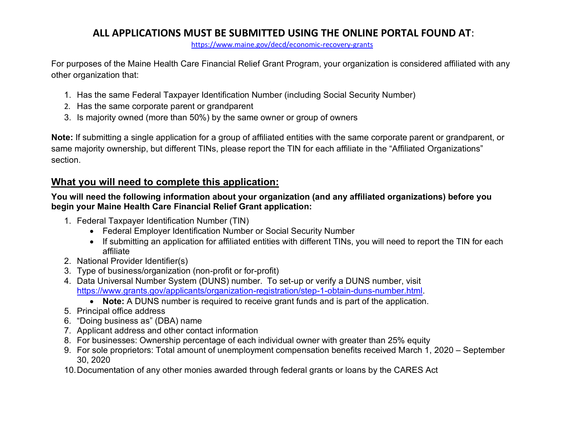<https://www.maine.gov/decd/economic-recovery-grants>

For purposes of the Maine Health Care Financial Relief Grant Program, your organization is considered affiliated with any other organization that:

- 1. Has the same Federal Taxpayer Identification Number (including Social Security Number)
- 2. Has the same corporate parent or grandparent
- 3. Is majority owned (more than 50%) by the same owner or group of owners

**Note:** If submitting a single application for a group of affiliated entities with the same corporate parent or grandparent, or same majority ownership, but different TINs, please report the TIN for each affiliate in the "Affiliated Organizations" section.

## **What you will need to complete this application:**

#### **You will need the following information about your organization (and any affiliated organizations) before you begin your Maine Health Care Financial Relief Grant application:**

- 1. Federal Taxpayer Identification Number (TIN)
	- Federal Employer Identification Number or Social Security Number
	- If submitting an application for affiliated entities with different TINs, you will need to report the TIN for each affiliate
- 2. National Provider Identifier(s)
- 3. Type of business/organization (non-profit or for-profit)
- 4. Data Universal Number System (DUNS) number. To set-up or verify a DUNS number, visit [https://www.grants.gov/applicants/organization-registration/step-1-obtain-duns-number.html.](https://urldefense.proofpoint.com/v2/url?u=https-3A__www.grants.gov_applicants_organization-2Dregistration_step-2D1-2Dobtain-2Dduns-2Dnumber.html&d=DwMFAg&c=WO-RGvefibhHBZq3fL85hQ&r=umgeq9-_MG6HnYCaDyNnNLwrDfx_-OAo120aIEsRu_8&m=E-S8jFm2s8jQ9AtaAdMoiSBHN1X1zsN8pFU6D6NNfHw&s=1g6r9VegQe7pDOxeE-ceZJeo2OSeOxC6bc_Bm93WPJU&e=)
	- **Note:** A DUNS number is required to receive grant funds and is part of the application.
- 5. Principal office address
- 6. "Doing business as" (DBA) name
- 7. Applicant address and other contact information
- 8. For businesses: Ownership percentage of each individual owner with greater than 25% equity
- 9. For sole proprietors: Total amount of unemployment compensation benefits received March 1, 2020 September 30, 2020
- 10.Documentation of any other monies awarded through federal grants or loans by the CARES Act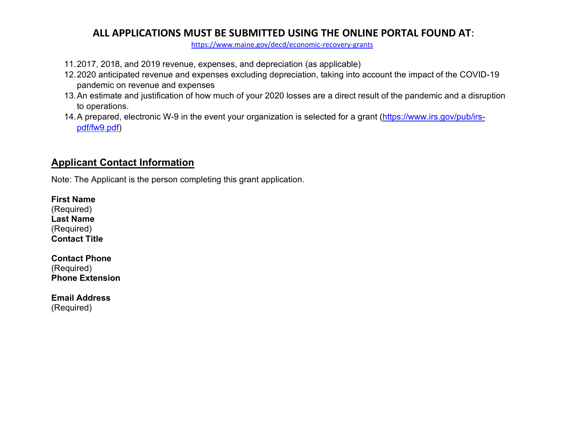<https://www.maine.gov/decd/economic-recovery-grants>

- 11.2017, 2018, and 2019 revenue, expenses, and depreciation (as applicable)
- 12.2020 anticipated revenue and expenses excluding depreciation, taking into account the impact of the COVID-19 pandemic on revenue and expenses
- 13.An estimate and justification of how much of your 2020 losses are a direct result of the pandemic and a disruption to operations.
- 14.A prepared, electronic W-9 in the event your organization is selected for a grant [\(https://www.irs.gov/pub/irs](https://www.irs.gov/pub/irs-pdf/fw9.pdf)[pdf/fw9.pdf\)](https://www.irs.gov/pub/irs-pdf/fw9.pdf)

# **Applicant Contact Information**

Note: The Applicant is the person completing this grant application.

**First Name** (Required) **Last Name** (Required) **Contact Title**

**Contact Phone** (Required) **Phone Extension**

**Email Address** (Required)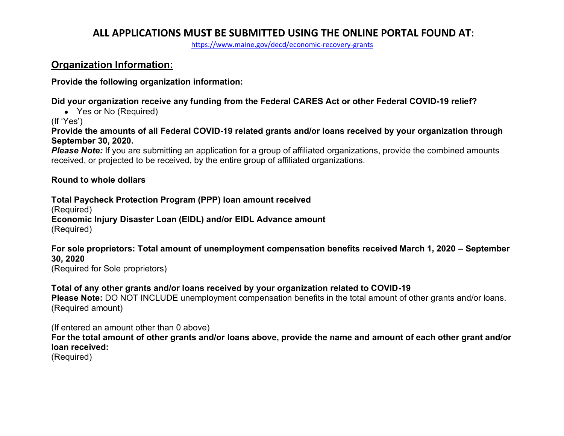<https://www.maine.gov/decd/economic-recovery-grants>

### **Organization Information:**

**Provide the following organization information:**

**Did your organization receive any funding from the Federal CARES Act or other Federal COVID-19 relief?**

• Yes or No (Required)

(If 'Yes')

**Provide the amounts of all Federal COVID-19 related grants and/or loans received by your organization through September 30, 2020.**

**Please Note:** If you are submitting an application for a group of affiliated organizations, provide the combined amounts received, or projected to be received, by the entire group of affiliated organizations.

#### **Round to whole dollars**

**Total Paycheck Protection Program (PPP) loan amount received** (Required) **Economic Injury Disaster Loan (EIDL) and/or EIDL Advance amount** (Required)

**For sole proprietors: Total amount of unemployment compensation benefits received March 1, 2020 – September 30, 2020** (Required for Sole proprietors)

**Total of any other grants and/or loans received by your organization related to COVID-19 Please Note:** DO NOT INCLUDE unemployment compensation benefits in the total amount of other grants and/or loans. (Required amount)

(If entered an amount other than 0 above) **For the total amount of other grants and/or loans above, provide the name and amount of each other grant and/or loan received:**

(Required)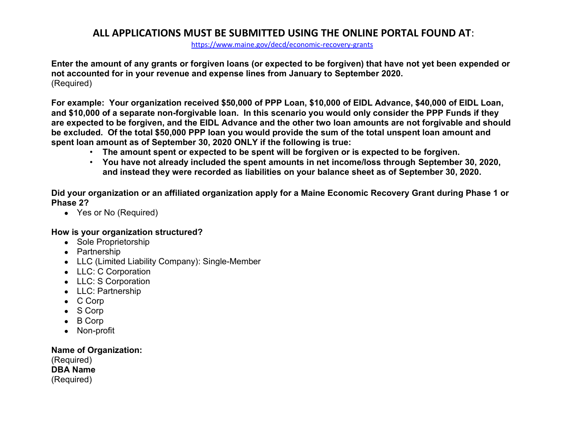<https://www.maine.gov/decd/economic-recovery-grants>

**Enter the amount of any grants or forgiven loans (or expected to be forgiven) that have not yet been expended or not accounted for in your revenue and expense lines from January to September 2020.** (Required)

**For example: Your organization received \$50,000 of PPP Loan, \$10,000 of EIDL Advance, \$40,000 of EIDL Loan, and \$10,000 of a separate non-forgivable loan. In this scenario you would only consider the PPP Funds if they are expected to be forgiven, and the EIDL Advance and the other two loan amounts are not forgivable and should be excluded. Of the total \$50,000 PPP loan you would provide the sum of the total unspent loan amount and spent loan amount as of September 30, 2020 ONLY if the following is true:**

- **The amount spent or expected to be spent will be forgiven or is expected to be forgiven.**
- **You have not already included the spent amounts in net income/loss through September 30, 2020, and instead they were recorded as liabilities on your balance sheet as of September 30, 2020.**

**Did your organization or an affiliated organization apply for a Maine Economic Recovery Grant during Phase 1 or Phase 2?**

• Yes or No (Required)

#### **How is your organization structured?**

- Sole Proprietorship
- Partnership
- LLC (Limited Liability Company): Single-Member
- LLC: C Corporation
- LLC: S Corporation
- LLC: Partnership
- C Corp
- S Corp
- B Corp
- Non-profit

#### **Name of Organization:**

(Required) **DBA Name** (Required)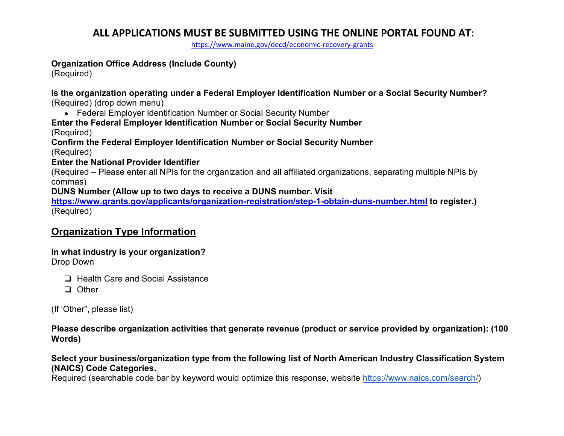<https://www.maine.gov/decd/economic-recovery-grants>

#### **Organization Office Address (Include County)**

(Required)

**Is the organization operating under a Federal Employer Identification Number or a Social Security Number?** (Required) (drop down menu)

• Federal Employer Identification Number or Social Security Number

#### **Enter the Federal Employer Identification Number or Social Security Number**

(Required)

**Confirm the Federal Employer Identification Number or Social Security Number**

(Required)

#### **Enter the National Provider Identifier**

(Required – Please enter all NPIs for the organization and all affiliated organizations, separating multiple NPIs by commas)

**DUNS Number (Allow up to two days to receive a DUNS number. Visit** 

**[https://www.grants.gov/applicants/organization-registration/step-1-obtain-duns-number.html](https://urldefense.proofpoint.com/v2/url?u=https-3A__www.grants.gov_applicants_organization-2Dregistration_step-2D1-2Dobtain-2Dduns-2Dnumber.html&d=DwMFAg&c=WO-RGvefibhHBZq3fL85hQ&r=umgeq9-_MG6HnYCaDyNnNLwrDfx_-OAo120aIEsRu_8&m=E-S8jFm2s8jQ9AtaAdMoiSBHN1X1zsN8pFU6D6NNfHw&s=1g6r9VegQe7pDOxeE-ceZJeo2OSeOxC6bc_Bm93WPJU&e=) to register.)** (Required)

### **Organization Type Information**

**In what industry is your organization?**  Drop Down

❏ Health Care and Social Assistance

❏ Other

(If 'Other", please list)

**Please describe organization activities that generate revenue (product or service provided by organization): (100 Words)**

#### **Select your business/organization type from the following list of North American Industry Classification System (NAICS) Code Categories.**

Required (searchable code bar by keyword would optimize this response, website [https://www.naics.com/search/\)](https://www.naics.com/search/)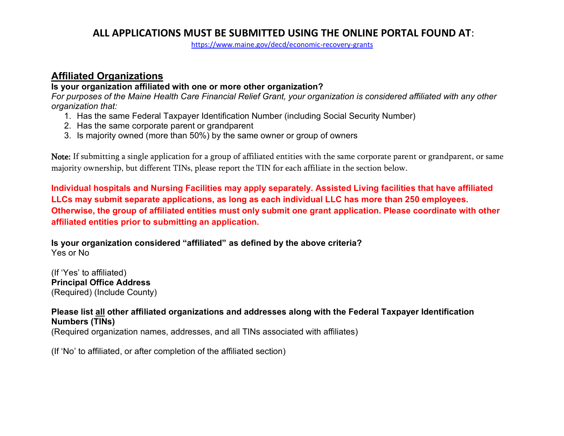<https://www.maine.gov/decd/economic-recovery-grants>

### **Affiliated Organizations**

#### **Is your organization affiliated with one or more other organization?**

*For purposes of the Maine Health Care Financial Relief Grant, your organization is considered affiliated with any other organization that:*

- 1. Has the same Federal Taxpayer Identification Number (including Social Security Number)
- 2. Has the same corporate parent or grandparent
- 3. Is majority owned (more than 50%) by the same owner or group of owners

Note: If submitting a single application for a group of affiliated entities with the same corporate parent or grandparent, or same majority ownership, but different TINs, please report the TIN for each affiliate in the section below.

**Individual hospitals and Nursing Facilities may apply separately. Assisted Living facilities that have affiliated LLCs may submit separate applications, as long as each individual LLC has more than 250 employees. Otherwise, the group of affiliated entities must only submit one grant application. Please coordinate with other affiliated entities prior to submitting an application.**

**Is your organization considered "affiliated" as defined by the above criteria?** Yes or No

(If 'Yes' to affiliated) **Principal Office Address** (Required) (Include County)

#### **Please list all other affiliated organizations and addresses along with the Federal Taxpayer Identification Numbers (TINs)**

(Required organization names, addresses, and all TINs associated with affiliates)

(If 'No' to affiliated, or after completion of the affiliated section)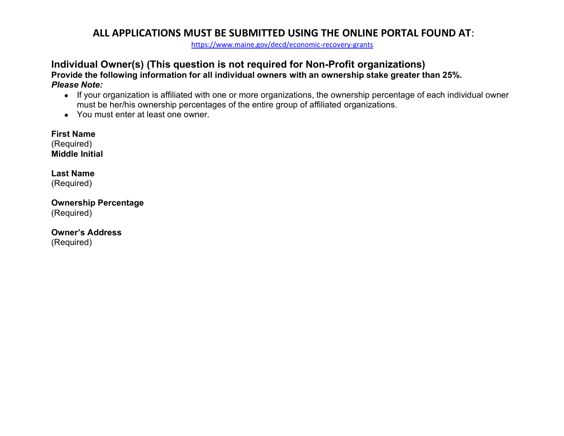<https://www.maine.gov/decd/economic-recovery-grants>

# **Individual Owner(s) (This question is not required for Non-Profit organizations)**

**Provide the following information for all individual owners with an ownership stake greater than 25%.** *Please Note:*

- If your organization is affiliated with one or more organizations, the ownership percentage of each individual owner must be her/his ownership percentages of the entire group of affiliated organizations.
- You must enter at least one owner.

**First Name** (Required) **Middle Initial**

**Last Name** (Required)

**Ownership Percentage** (Required)

**Owner's Address** (Required)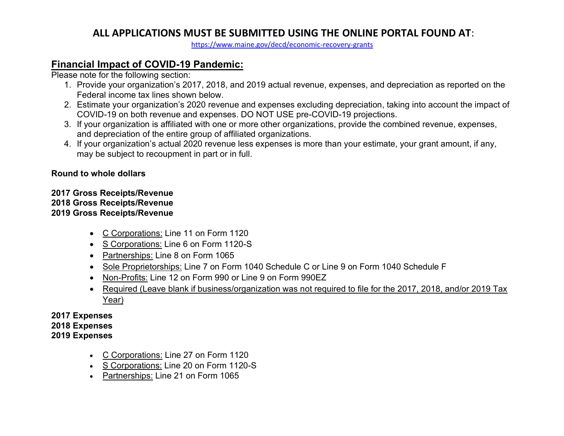<https://www.maine.gov/decd/economic-recovery-grants>

## **Financial Impact of COVID-19 Pandemic:**

Please note for the following section:

- 1. Provide your organization's 2017, 2018, and 2019 actual revenue, expenses, and depreciation as reported on the Federal income tax lines shown below.
- 2. Estimate your organization's 2020 revenue and expenses excluding depreciation, taking into account the impact of COVID-19 on both revenue and expenses. DO NOT USE pre-COVID-19 projections.
- 3. If your organization is affiliated with one or more other organizations, provide the combined revenue, expenses, and depreciation of the entire group of affiliated organizations.
- 4. If your organization's actual 2020 revenue less expenses is more than your estimate, your grant amount, if any, may be subject to recoupment in part or in full.

#### **Round to whole dollars**

#### **2017 Gross Receipts/Revenue 2018 Gross Receipts/Revenue 2019 Gross Receipts/Revenue**

- C Corporations: Line 11 on Form 1120
- S Corporations: Line 6 on Form 1120-S
- Partnerships: Line 8 on Form 1065
- Sole Proprietorships: Line 7 on Form 1040 Schedule C or Line 9 on Form 1040 Schedule F
- Non-Profits: Line 12 on Form 990 or Line 9 on Form 990EZ
- Required (Leave blank if business/organization was not required to file for the 2017, 2018, and/or 2019 Tax Year)

#### **2017 Expenses 2018 Expenses 2019 Expenses**

- C Corporations: Line 27 on Form 1120
- S Corporations: Line 20 on Form 1120-S
- Partnerships: Line 21 on Form 1065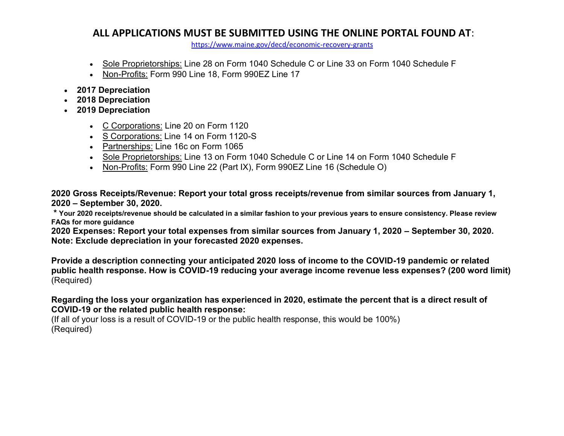<https://www.maine.gov/decd/economic-recovery-grants>

- Sole Proprietorships: Line 28 on Form 1040 Schedule C or Line 33 on Form 1040 Schedule F
- Non-Profits: Form 990 Line 18, Form 990EZ Line 17
- **2017 Depreciation**
- **2018 Depreciation**
- **2019 Depreciation**
	- C Corporations: Line 20 on Form 1120
	- S Corporations: Line 14 on Form 1120-S
	- Partnerships: Line 16c on Form 1065
	- Sole Proprietorships: Line 13 on Form 1040 Schedule C or Line 14 on Form 1040 Schedule F
	- Non-Profits: Form 990 Line 22 (Part IX), Form 990EZ Line 16 (Schedule O)

**2020 Gross Receipts/Revenue: Report your total gross receipts/revenue from similar sources from January 1, 2020 – September 30, 2020.** 

**\* Your 2020 receipts/revenue should be calculated in a similar fashion to your previous years to ensure consistency. Please review FAQs for more guidance**

**2020 Expenses: Report your total expenses from similar sources from January 1, 2020 – September 30, 2020. Note: Exclude depreciation in your forecasted 2020 expenses.**

**Provide a description connecting your anticipated 2020 loss of income to the COVID-19 pandemic or related public health response. How is COVID-19 reducing your average income revenue less expenses? (200 word limit)** (Required)

#### **Regarding the loss your organization has experienced in 2020, estimate the percent that is a direct result of COVID-19 or the related public health response:**

(If all of your loss is a result of COVID-19 or the public health response, this would be 100%) (Required)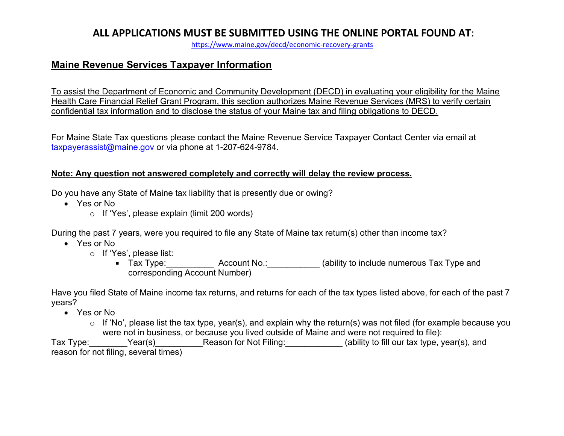<https://www.maine.gov/decd/economic-recovery-grants>

### **Maine Revenue Services Taxpayer Information**

To assist the Department of Economic and Community Development (DECD) in evaluating your eligibility for the Maine Health Care Financial Relief Grant Program, this section authorizes Maine Revenue Services (MRS) to verify certain confidential tax information and to disclose the status of your Maine tax and filing obligations to DECD.

For Maine State Tax questions please contact the Maine Revenue Service Taxpayer Contact Center via email at [taxpayerassist@maine.gov](mailto:taxpayerassist@maine.gov) or via phone at 1-207-624-9784.

#### **Note: Any question not answered completely and correctly will delay the review process.**

Do you have any State of Maine tax liability that is presently due or owing?

- Yes or No
	- o If 'Yes', please explain (limit 200 words)

During the past 7 years, were you required to file any State of Maine tax return(s) other than income tax?

- Yes or No
	- o If 'Yes', please list:
		- Tax Type: Account No.: (ability to include numerous Tax Type and corresponding Account Number)

Have you filed State of Maine income tax returns, and returns for each of the tax types listed above, for each of the past 7 years?

- Yes or No
	- o If 'No', please list the tax type, year(s), and explain why the return(s) was not filed (for example because you were not in business, or because you lived outside of Maine and were not required to file):

Tax Type: The Pear(s) Tax Type: The Peason for Not Filing: The Marketing (ability to fill our tax type, year(s), and reason for not filing, several times)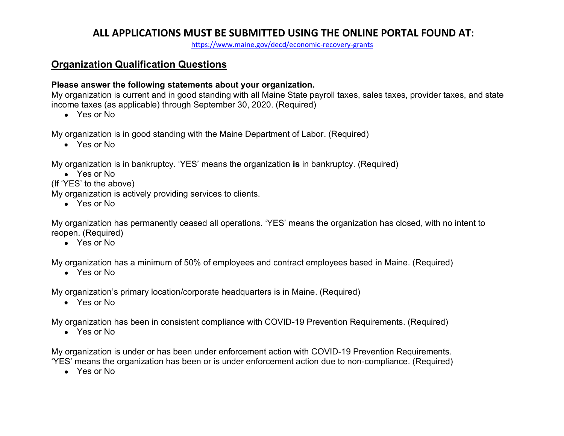<https://www.maine.gov/decd/economic-recovery-grants>

### **Organization Qualification Questions**

#### **Please answer the following statements about your organization.**

My organization is current and in good standing with all Maine State payroll taxes, sales taxes, provider taxes, and state income taxes (as applicable) through September 30, 2020. (Required)

• Yes or No

My organization is in good standing with the Maine Department of Labor. (Required)

• Yes or No

My organization is in bankruptcy. 'YES' means the organization **is** in bankruptcy. (Required)

● Yes or No

(If 'YES' to the above)

My organization is actively providing services to clients.

● Yes or No

My organization has permanently ceased all operations. 'YES' means the organization has closed, with no intent to reopen. (Required)

• Yes or No

My organization has a minimum of 50% of employees and contract employees based in Maine. (Required)

• Yes or No

My organization's primary location/corporate headquarters is in Maine. (Required)

• Yes or No

My organization has been in consistent compliance with COVID-19 Prevention Requirements. (Required)

● Yes or No

My organization is under or has been under enforcement action with COVID-19 Prevention Requirements. 'YES' means the organization has been or is under enforcement action due to non-compliance. (Required)

● Yes or No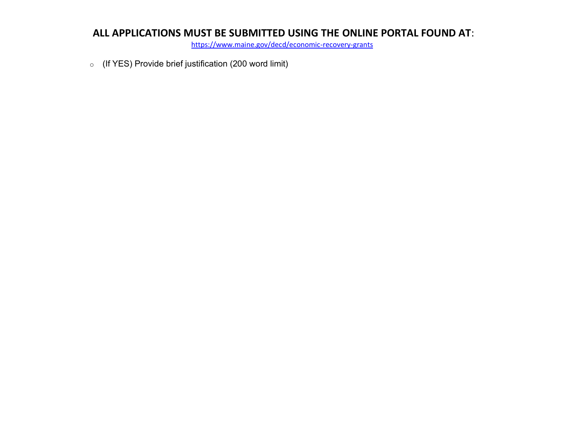<https://www.maine.gov/decd/economic-recovery-grants>

o (If YES) Provide brief justification (200 word limit)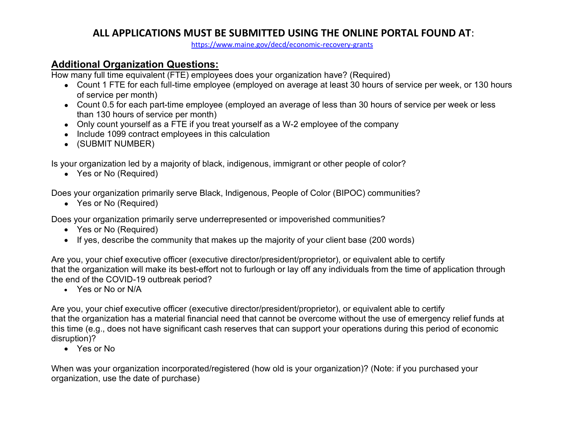<https://www.maine.gov/decd/economic-recovery-grants>

### **Additional Organization Questions:**

How many full time equivalent (FTE) employees does your organization have? (Required)

- Count 1 FTE for each full-time employee (employed on average at least 30 hours of service per week, or 130 hours of service per month)
- Count 0.5 for each part-time employee (employed an average of less than 30 hours of service per week or less than 130 hours of service per month)
- Only count yourself as a FTE if you treat yourself as a W-2 employee of the company
- Include 1099 contract employees in this calculation
- (SUBMIT NUMBER)

Is your organization led by a majority of black, indigenous, immigrant or other people of color?

• Yes or No (Required)

Does your organization primarily serve Black, Indigenous, People of Color (BIPOC) communities?

• Yes or No (Required)

Does your organization primarily serve underrepresented or impoverished communities?

- Yes or No (Required)
- If yes, describe the community that makes up the majority of your client base (200 words)

Are you, your chief executive officer (executive director/president/proprietor), or equivalent able to certify that the organization will make its best-effort not to furlough or lay off any individuals from the time of application through the end of the COVID-19 outbreak period?

• Yes or No or N/A

Are you, your chief executive officer (executive director/president/proprietor), or equivalent able to certify that the organization has a material financial need that cannot be overcome without the use of emergency relief funds at this time (e.g., does not have significant cash reserves that can support your operations during this period of economic disruption)?

• Yes or No

When was your organization incorporated/registered (how old is your organization)? (Note: if you purchased your organization, use the date of purchase)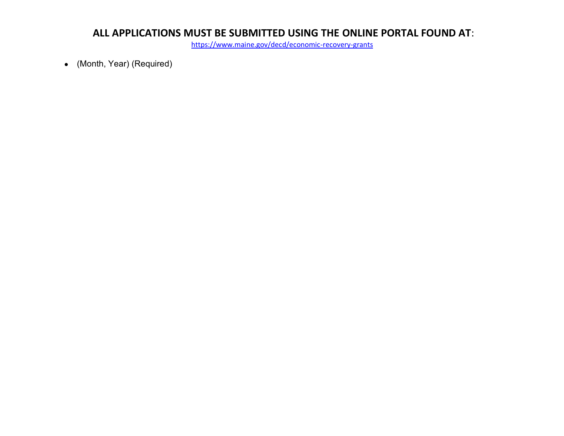<https://www.maine.gov/decd/economic-recovery-grants>

● (Month, Year) (Required)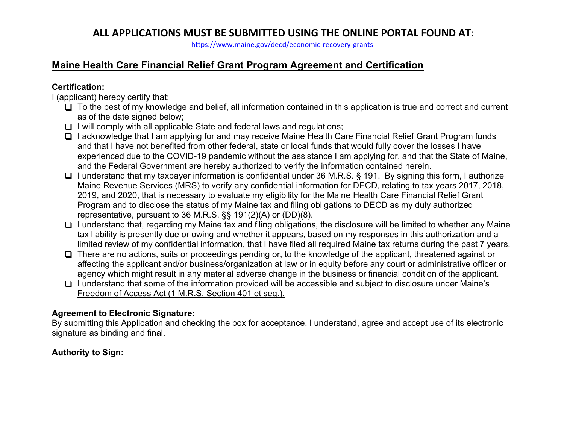<https://www.maine.gov/decd/economic-recovery-grants>

# **Maine Health Care Financial Relief Grant Program Agreement and Certification**

#### **Certification:**

I (applicant) hereby certify that;

- $\Box$  To the best of my knowledge and belief, all information contained in this application is true and correct and current as of the date signed below;
- $\Box$  I will comply with all applicable State and federal laws and regulations;
- I acknowledge that I am applying for and may receive Maine Health Care Financial Relief Grant Program funds and that I have not benefited from other federal, state or local funds that would fully cover the losses I have experienced due to the COVID-19 pandemic without the assistance I am applying for, and that the State of Maine, and the Federal Government are hereby authorized to verify the information contained herein.
- $\Box$  I understand that my taxpayer information is confidential under 36 M.R.S. § 191. By signing this form, I authorize Maine Revenue Services (MRS) to verify any confidential information for DECD, relating to tax years 2017, 2018, 2019, and 2020, that is necessary to evaluate my eligibility for the Maine Health Care Financial Relief Grant Program and to disclose the status of my Maine tax and filing obligations to DECD as my duly authorized representative, pursuant to 36 M.R.S. §§ 191(2)(A) or (DD)(8).
- $\Box$  I understand that, regarding my Maine tax and filing obligations, the disclosure will be limited to whether any Maine tax liability is presently due or owing and whether it appears, based on my responses in this authorization and a limited review of my confidential information, that I have filed all required Maine tax returns during the past 7 years.
- $\Box$  There are no actions, suits or proceedings pending or, to the knowledge of the applicant, threatened against or affecting the applicant and/or business/organization at law or in equity before any court or administrative officer or agency which might result in any material adverse change in the business or financial condition of the applicant.
- $\Box$  I understand that some of the information provided will be accessible and subject to disclosure under Maine's Freedom of Access Act (1 M.R.S. Section 401 et seq.).

### **Agreement to Electronic Signature:**

By submitting this Application and checking the box for acceptance, I understand, agree and accept use of its electronic signature as binding and final.

### **Authority to Sign:**